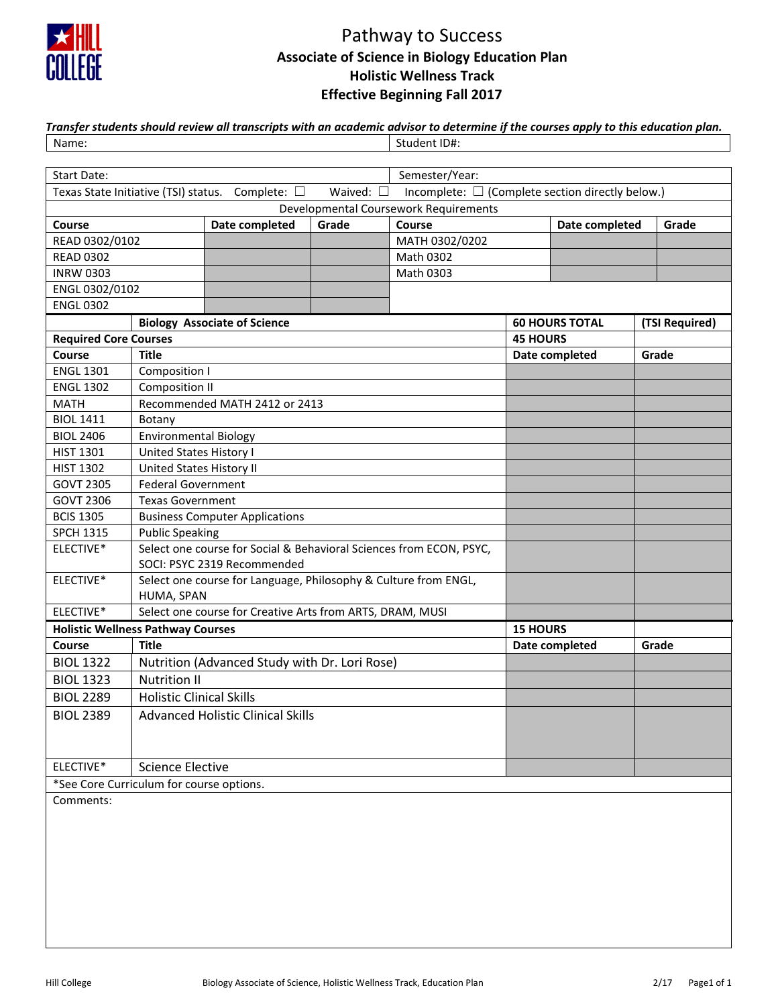

# Pathway to Success **Associate of Science in Biology Education Plan Holistic Wellness Track Effective Beginning Fall 2017**

| Transfer students should review all transcripts with an academic advisor to determine if the courses apply to this education plan. |              |  |  |  |  |  |
|------------------------------------------------------------------------------------------------------------------------------------|--------------|--|--|--|--|--|
| Name:                                                                                                                              | Student ID#: |  |  |  |  |  |

| Start Date:                                                                                                                       |                                                                                                    |                                               |                 | Semester/Year: |  |                       |  |                |  |
|-----------------------------------------------------------------------------------------------------------------------------------|----------------------------------------------------------------------------------------------------|-----------------------------------------------|-----------------|----------------|--|-----------------------|--|----------------|--|
| Incomplete: $\square$ (Complete section directly below.)<br>Texas State Initiative (TSI) status. Complete: □<br>Waived: $\square$ |                                                                                                    |                                               |                 |                |  |                       |  |                |  |
| Developmental Coursework Requirements                                                                                             |                                                                                                    |                                               |                 |                |  |                       |  |                |  |
| Course                                                                                                                            |                                                                                                    | Date completed                                | Grade           | Course         |  | Date completed        |  | Grade          |  |
| READ 0302/0102                                                                                                                    |                                                                                                    |                                               |                 | MATH 0302/0202 |  |                       |  |                |  |
| <b>READ 0302</b>                                                                                                                  |                                                                                                    |                                               |                 | Math 0302      |  |                       |  |                |  |
| <b>INRW 0303</b>                                                                                                                  |                                                                                                    |                                               |                 | Math 0303      |  |                       |  |                |  |
| ENGL 0302/0102                                                                                                                    |                                                                                                    |                                               |                 |                |  |                       |  |                |  |
| <b>ENGL 0302</b>                                                                                                                  |                                                                                                    |                                               |                 |                |  |                       |  |                |  |
|                                                                                                                                   |                                                                                                    | <b>Biology Associate of Science</b>           |                 |                |  | <b>60 HOURS TOTAL</b> |  | (TSI Required) |  |
| <b>Required Core Courses</b>                                                                                                      |                                                                                                    |                                               | <b>45 HOURS</b> |                |  |                       |  |                |  |
| Course                                                                                                                            | <b>Title</b>                                                                                       |                                               |                 |                |  | Date completed        |  | Grade          |  |
| <b>ENGL 1301</b>                                                                                                                  | Composition I                                                                                      |                                               |                 |                |  |                       |  |                |  |
| <b>ENGL 1302</b>                                                                                                                  | Composition II                                                                                     |                                               |                 |                |  |                       |  |                |  |
| <b>MATH</b>                                                                                                                       |                                                                                                    | Recommended MATH 2412 or 2413                 |                 |                |  |                       |  |                |  |
| <b>BIOL 1411</b>                                                                                                                  | Botany                                                                                             |                                               |                 |                |  |                       |  |                |  |
| <b>BIOL 2406</b>                                                                                                                  | Environmental Biology                                                                              |                                               |                 |                |  |                       |  |                |  |
| <b>HIST 1301</b>                                                                                                                  | United States History I                                                                            |                                               |                 |                |  |                       |  |                |  |
| <b>HIST 1302</b>                                                                                                                  | United States History II                                                                           |                                               |                 |                |  |                       |  |                |  |
| <b>GOVT 2305</b>                                                                                                                  | <b>Federal Government</b>                                                                          |                                               |                 |                |  |                       |  |                |  |
| <b>GOVT 2306</b>                                                                                                                  | <b>Texas Government</b>                                                                            |                                               |                 |                |  |                       |  |                |  |
| <b>BCIS 1305</b>                                                                                                                  | <b>Business Computer Applications</b>                                                              |                                               |                 |                |  |                       |  |                |  |
| <b>SPCH 1315</b>                                                                                                                  | <b>Public Speaking</b>                                                                             |                                               |                 |                |  |                       |  |                |  |
| ELECTIVE*                                                                                                                         | Select one course for Social & Behavioral Sciences from ECON, PSYC,<br>SOCI: PSYC 2319 Recommended |                                               |                 |                |  |                       |  |                |  |
| ELECTIVE*                                                                                                                         | Select one course for Language, Philosophy & Culture from ENGL,<br>HUMA, SPAN                      |                                               |                 |                |  |                       |  |                |  |
| ELECTIVE*                                                                                                                         | Select one course for Creative Arts from ARTS, DRAM, MUSI                                          |                                               |                 |                |  |                       |  |                |  |
| <b>Holistic Wellness Pathway Courses</b>                                                                                          |                                                                                                    |                                               | <b>15 HOURS</b> |                |  |                       |  |                |  |
| Course                                                                                                                            | <b>Title</b>                                                                                       |                                               |                 |                |  | Date completed        |  | Grade          |  |
| <b>BIOL 1322</b>                                                                                                                  |                                                                                                    | Nutrition (Advanced Study with Dr. Lori Rose) |                 |                |  |                       |  |                |  |
| <b>BIOL 1323</b>                                                                                                                  | <b>Nutrition II</b>                                                                                |                                               |                 |                |  |                       |  |                |  |
| <b>BIOL 2289</b>                                                                                                                  | <b>Holistic Clinical Skills</b>                                                                    |                                               |                 |                |  |                       |  |                |  |
| <b>BIOL 2389</b>                                                                                                                  | <b>Advanced Holistic Clinical Skills</b>                                                           |                                               |                 |                |  |                       |  |                |  |
|                                                                                                                                   |                                                                                                    |                                               |                 |                |  |                       |  |                |  |
| ELECTIVE*                                                                                                                         | <b>Science Elective</b>                                                                            |                                               |                 |                |  |                       |  |                |  |
| *See Core Curriculum for course options.                                                                                          |                                                                                                    |                                               |                 |                |  |                       |  |                |  |
| Comments:                                                                                                                         |                                                                                                    |                                               |                 |                |  |                       |  |                |  |